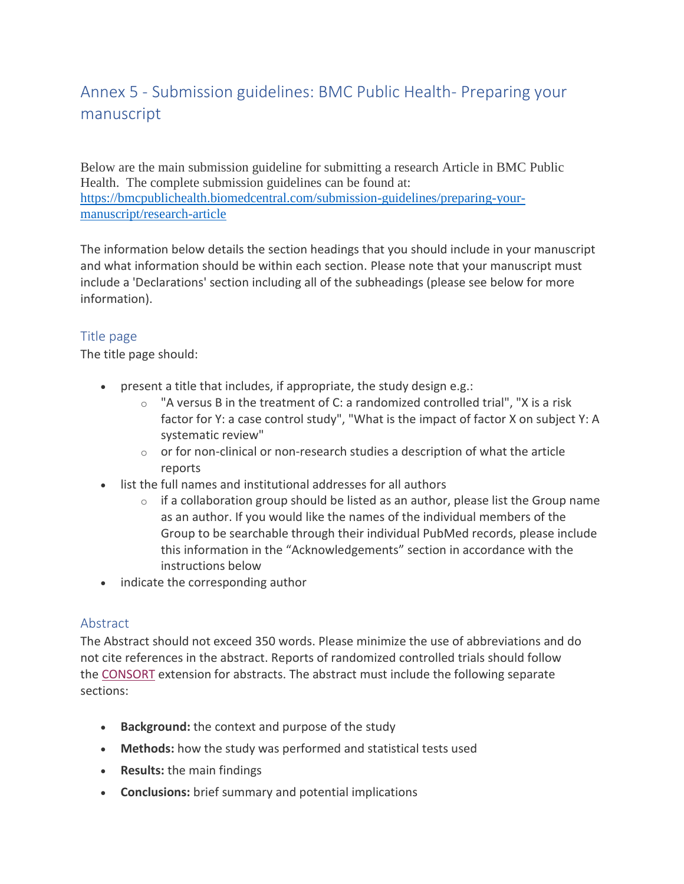# Annex 5 - Submission guidelines: BMC Public Health- Preparing your manuscript

Below are the main submission guideline for submitting a research Article in BMC Public Health. The complete submission guidelines can be found at: [https://bmcpublichealth.biomedcentral.com/submission-guidelines/preparing-your](https://bmcpublichealth.biomedcentral.com/submission-guidelines/preparing-your-manuscript/research-article)[manuscript/research-article](https://bmcpublichealth.biomedcentral.com/submission-guidelines/preparing-your-manuscript/research-article)

The information below details the section headings that you should include in your manuscript and what information should be within each section. Please note that your manuscript must include a 'Declarations' section including all of the subheadings (please see below for more information).

# Title page

The title page should:

- present a title that includes, if appropriate, the study design e.g.:
	- $\circ$  "A versus B in the treatment of C: a randomized controlled trial", "X is a risk factor for Y: a case control study", "What is the impact of factor X on subject Y: A systematic review"
	- $\circ$  or for non-clinical or non-research studies a description of what the article reports
- list the full names and institutional addresses for all authors
	- $\circ$  if a collaboration group should be listed as an author, please list the Group name as an author. If you would like the names of the individual members of the Group to be searchable through their individual PubMed records, please include this information in the "Acknowledgements" section in accordance with the instructions below
- indicate the corresponding author

# Abstract

The Abstract should not exceed 350 words. Please minimize the use of abbreviations and do not cite references in the abstract. Reports of randomized controlled trials should follow the [CONSORT](http://www.consort-statement.org/) extension for abstracts. The abstract must include the following separate sections:

- **Background:** the context and purpose of the study
- **Methods:** how the study was performed and statistical tests used
- **Results:** the main findings
- **Conclusions:** brief summary and potential implications